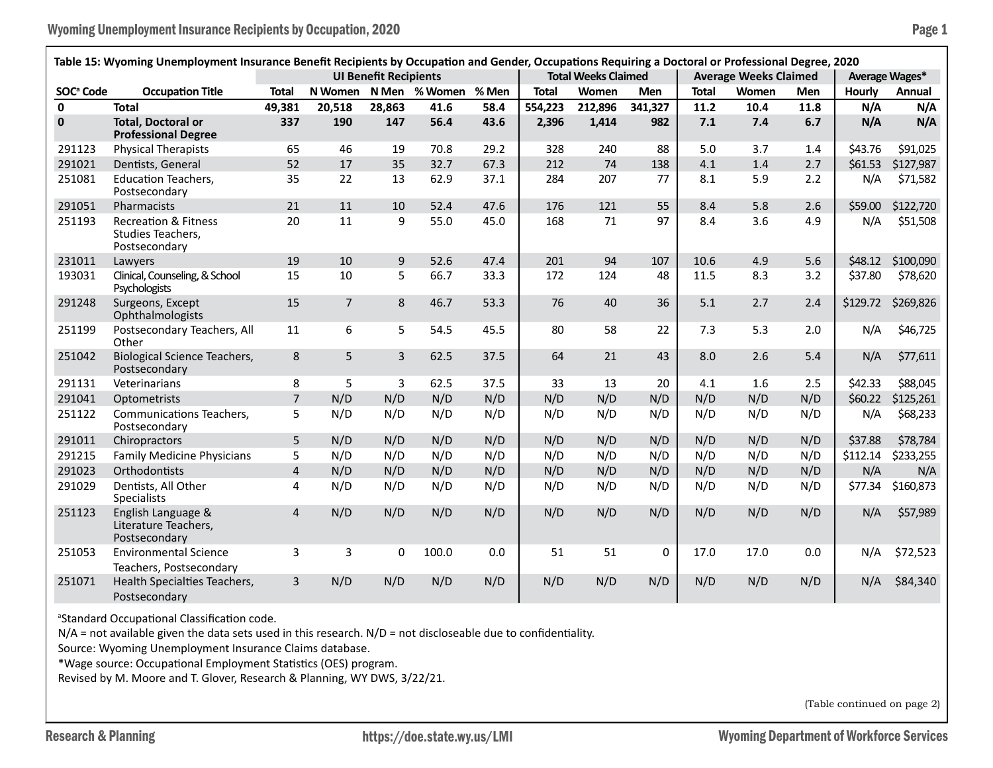| Table 15: Wyoming Unemployment Insurance Benefit Recipients by Occupation and Gender, Occupations Requiring a Doctoral or Professional Degree, 2020 |                                                                       |                              |                |                |               |       |                            |         |            |                              |       |      |                |           |
|-----------------------------------------------------------------------------------------------------------------------------------------------------|-----------------------------------------------------------------------|------------------------------|----------------|----------------|---------------|-------|----------------------------|---------|------------|------------------------------|-------|------|----------------|-----------|
|                                                                                                                                                     |                                                                       | <b>UI Benefit Recipients</b> |                |                |               |       | <b>Total Weeks Claimed</b> |         |            | <b>Average Weeks Claimed</b> |       |      | Average Wages* |           |
| SOC <sup>ª</sup> Code                                                                                                                               | <b>Occupation Title</b>                                               | Total                        | N Women        |                | N Men % Women | % Men | <b>Total</b>               | Women   | <b>Men</b> | <b>Total</b>                 | Women | Men  | Hourly         | Annual    |
| $\mathbf{0}$                                                                                                                                        | <b>Total</b>                                                          | 49,381                       | 20,518         | 28,863         | 41.6          | 58.4  | 554,223                    | 212,896 | 341,327    | 11.2                         | 10.4  | 11.8 | N/A            | N/A       |
| $\mathbf 0$                                                                                                                                         | <b>Total. Doctoral or</b><br><b>Professional Degree</b>               | 337                          | 190            | 147            | 56.4          | 43.6  | 2,396                      | 1,414   | 982        | 7.1                          | 7.4   | 6.7  | N/A            | N/A       |
| 291123                                                                                                                                              | <b>Physical Therapists</b>                                            | 65                           | 46             | 19             | 70.8          | 29.2  | 328                        | 240     | 88         | 5.0                          | 3.7   | 1.4  | \$43.76        | \$91,025  |
| 291021                                                                                                                                              | Dentists, General                                                     | 52                           | 17             | 35             | 32.7          | 67.3  | 212                        | 74      | 138        | 4.1                          | 1.4   | 2.7  | \$61.53        | \$127,987 |
| 251081                                                                                                                                              | <b>Education Teachers,</b><br>Postsecondary                           | 35                           | 22             | 13             | 62.9          | 37.1  | 284                        | 207     | 77         | 8.1                          | 5.9   | 2.2  | N/A            | \$71,582  |
| 291051                                                                                                                                              | Pharmacists                                                           | 21                           | 11             | 10             | 52.4          | 47.6  | 176                        | 121     | 55         | 8.4                          | 5.8   | 2.6  | \$59.00        | \$122,720 |
| 251193                                                                                                                                              | <b>Recreation &amp; Fitness</b><br>Studies Teachers,<br>Postsecondary | 20                           | 11             | 9              | 55.0          | 45.0  | 168                        | 71      | 97         | 8.4                          | 3.6   | 4.9  | N/A            | \$51,508  |
| 231011                                                                                                                                              | Lawyers                                                               | 19                           | 10             | 9              | 52.6          | 47.4  | 201                        | 94      | 107        | 10.6                         | 4.9   | 5.6  | \$48.12        | \$100,090 |
| 193031                                                                                                                                              | Clinical, Counseling, & School<br>Psychologists                       | 15                           | 10             | 5              | 66.7          | 33.3  | 172                        | 124     | 48         | 11.5                         | 8.3   | 3.2  | \$37.80        | \$78,620  |
| 291248                                                                                                                                              | Surgeons, Except<br>Ophthalmologists                                  | 15                           | $\overline{7}$ | 8              | 46.7          | 53.3  | 76                         | 40      | 36         | 5.1                          | 2.7   | 2.4  | \$129.72       | \$269,826 |
| 251199                                                                                                                                              | Postsecondary Teachers, All<br>Other                                  | 11                           | 6              | 5              | 54.5          | 45.5  | 80                         | 58      | 22         | 7.3                          | 5.3   | 2.0  | N/A            | \$46,725  |
| 251042                                                                                                                                              | <b>Biological Science Teachers,</b><br>Postsecondary                  | 8                            | 5              | $\overline{3}$ | 62.5          | 37.5  | 64                         | 21      | 43         | 8.0                          | 2.6   | 5.4  | N/A            | \$77,611  |
| 291131                                                                                                                                              | Veterinarians                                                         | 8                            | 5              | 3              | 62.5          | 37.5  | 33                         | 13      | 20         | 4.1                          | 1.6   | 2.5  | \$42.33        | \$88,045  |
| 291041                                                                                                                                              | Optometrists                                                          | $\overline{7}$               | N/D            | N/D            | N/D           | N/D   | N/D                        | N/D     | N/D        | N/D                          | N/D   | N/D  | \$60.22        | \$125,261 |
| 251122                                                                                                                                              | Communications Teachers,<br>Postsecondary                             | 5                            | N/D            | N/D            | N/D           | N/D   | N/D                        | N/D     | N/D        | N/D                          | N/D   | N/D  | N/A            | \$68,233  |
| 291011                                                                                                                                              | Chiropractors                                                         | 5                            | N/D            | N/D            | N/D           | N/D   | N/D                        | N/D     | N/D        | N/D                          | N/D   | N/D  | \$37.88        | \$78,784  |
| 291215                                                                                                                                              | <b>Family Medicine Physicians</b>                                     | 5                            | N/D            | N/D            | N/D           | N/D   | N/D                        | N/D     | N/D        | N/D                          | N/D   | N/D  | \$112.14       | \$233,255 |
| 291023                                                                                                                                              | Orthodontists                                                         | $\overline{\mathbf{4}}$      | N/D            | N/D            | N/D           | N/D   | N/D                        | N/D     | N/D        | N/D                          | N/D   | N/D  | N/A            | N/A       |
| 291029                                                                                                                                              | Dentists, All Other<br>Specialists                                    | 4                            | N/D            | N/D            | N/D           | N/D   | N/D                        | N/D     | N/D        | N/D                          | N/D   | N/D  | \$77.34        | \$160,873 |
| 251123                                                                                                                                              | English Language &<br>Literature Teachers,<br>Postsecondary           | $\overline{4}$               | N/D            | N/D            | N/D           | N/D   | N/D                        | N/D     | N/D        | N/D                          | N/D   | N/D  | N/A            | \$57,989  |
| 251053                                                                                                                                              | <b>Environmental Science</b><br>Teachers, Postsecondary               | 3                            | 3              | 0              | 100.0         | 0.0   | 51                         | 51      | 0          | 17.0                         | 17.0  | 0.0  | N/A            | \$72,523  |
| 251071                                                                                                                                              | Health Specialties Teachers,<br>Postsecondary                         | 3                            | N/D            | N/D            | N/D           | N/D   | N/D                        | N/D     | N/D        | N/D                          | N/D   | N/D  | N/A            | \$84,340  |

<sup>a</sup>Standard Occupational Classification code.

N/A = not available given the data sets used in this research. N/D = not discloseable due to confidentiality.

Source: Wyoming Unemployment Insurance Claims database.

\*Wage source: Occupational Employment Statistics (OES) program.

Revised by M. Moore and T. Glover, Research & Planning, WY DWS, 3/22/21.

(Table continued on page 2)